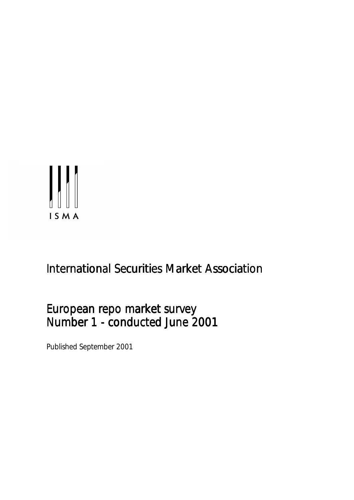

# **International Securities Market Association**

# European repo market survey Number 1 - conducted June 2001

Published September 2001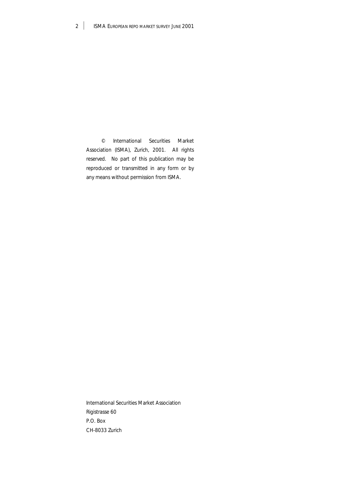© International Securities Market Association (ISMA), Zurich, 2001. All rights reserved. No part of this publication may be reproduced or transmitted in any form or by any means without permission from ISMA.

International Securities Market Association Rigistrasse 60 P.O. Box CH-8033 Zurich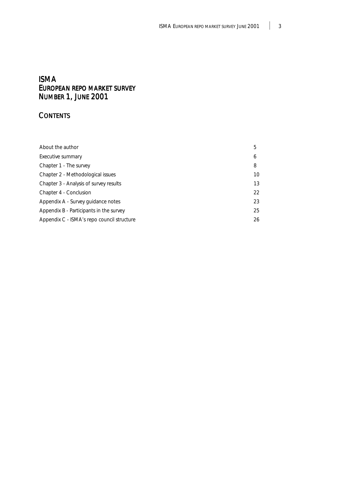# ISMA EUROPEAN REPO MARKET SURVEY NUMBER 1, JUNE 2001

# **CONTENTS**

| About the author                           | 5  |
|--------------------------------------------|----|
| Executive summary                          | 6  |
| Chapter 1 - The survey                     | 8  |
| Chapter 2 - Methodological issues          | 10 |
| Chapter 3 - Analysis of survey results     | 13 |
| Chapter 4 - Conclusion                     | 22 |
| Appendix A - Survey guidance notes         | 23 |
| Appendix B - Participants in the survey    | 25 |
| Appendix C - ISMA's repo council structure | 26 |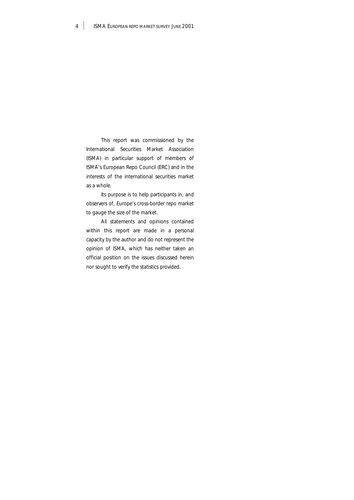This report was commissioned by the International Securities Market Association (ISMA) in particular support of members of ISMA's European Repo Council (ERC) and in the interests of the international securities market as a whole.

Its purpose is to help participants in, and observers of, Europe's cross-border repo market to gauge the size of the market.

All statements and opinions contained within this report are made in a personal capacity by the author and do not represent the opinion of ISMA, which has neither taken an official position on the issues discussed herein nor sought to verify the statistics provided.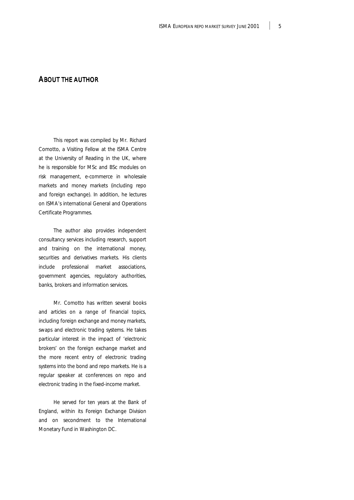# ABOUT THE AUTHOR

This report was compiled by Mr. Richard Comotto, a Visiting Fellow at the ISMA Centre at the University of Reading in the UK, where he is responsible for MSc and BSc modules on risk management, e-commerce in wholesale markets and money markets (including repo and foreign exchange). In addition, he lectures on ISMA's international General and Operations Certificate Programmes.

The author also provides independent consultancy services including research, support and training on the international money, securities and derivatives markets. His clients include professional market associations, government agencies, regulatory authorities, banks, brokers and information services.

Mr. Comotto has written several books and articles on a range of financial topics, including foreign exchange and money markets, swaps and electronic trading systems. He takes particular interest in the impact of 'electronic brokers' on the foreign exchange market and the more recent entry of electronic trading systems into the bond and repo markets. He is a regular speaker at conferences on repo and electronic trading in the fixed-income market.

He served for ten years at the Bank of England, within its Foreign Exchange Division and on secondment to the International Monetary Fund in Washington DC.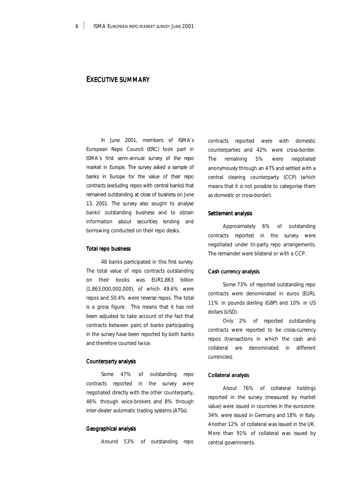# EXECUTIVE SUMMARY

In June 2001, members of ISMA's European Repo Council (ERC) took part in ISMA's first semi-annual survey of the repo market in Europe. The survey asked a sample of banks in Europe for the value of their repo contracts (excluding repos with central banks) that remained outstanding at close of business on June 13, 2001. The survey also sought to analyse banks' outstanding business and to obtain information about securities lending and borrowing conducted on their repo desks.

#### **Total repo business**

48 banks participated in this first survey. The total value of repo contracts outstanding on their books was EUR1,863 billion (1,863,000,000,000), of which 49.6% were repos and 50.4% were reverse repos. The total is a gross figure. This means that it has not been adjusted to take account of the fact that contracts between pairs of banks participating in the survey have been reported by both banks and therefore counted twice.

#### Counterparty analysis

Some 47% of outstanding repo contracts reported in the survey were negotiated directly with the other counterparty, 46% through voice-brokers and 8% through inter-dealer automatic trading systems (ATSs).

#### Geographical analysis

Around 53% of outstanding repo

contracts reported were with domestic counterparties and 42% were cross-border. The remaining 5% were negotiated anonymously through an ATS and settled with a central clearing counterparty (CCP) (which means that it is not possible to categorise them as domestic or cross-border).

### Settlement analysis

Approximately 6% of outstanding contracts reported in the survey were negotiated under tri-party repo arrangements. The remainder were bilateral or with a CCP.

# Cash currency analysis Cash currency analysis

Some 73% of reported outstanding repo contracts were denominated in euros (EUR), 11% in pounds sterling (GBP) and 10% in US dollars (USD).

Only 2% of reported outstanding contracts were reported to be cross-currency repos (transactions in which the cash and collateral are denominated in different currencies).

#### Collateral analysis

About 76% of collateral holdings reported in the survey (measured by market value) were issued in countries in the eurozone: 34% were issued in Germany and 18% in Italy. Another 12% of collateral was issued in the UK. More than 91% of collateral was issued by central governments.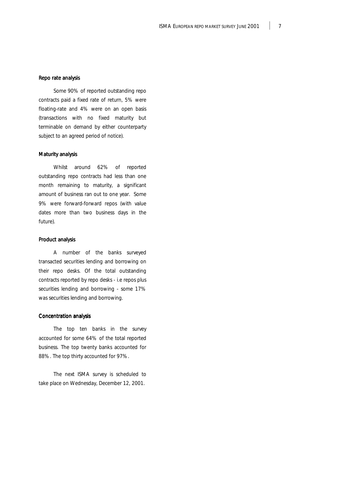#### Repo rate analysis

Some 90% of reported outstanding repo contracts paid a fixed rate of return, 5% were floating-rate and 4% were on an open basis (transactions with no fixed maturity but terminable on demand by either counterparty subject to an agreed period of notice).

### Maturity analysis

Whilst around 62% of reported outstanding repo contracts had less than one month remaining to maturity, a significant amount of business ran out to one year. Some 9% were forward-forward repos (with value dates more than two business days in the future).

### Product analysis

A number of the banks surveyed transacted securities lending and borrowing on their repo desks. Of the total outstanding contracts reported by repo desks - i.e repos plus securities lending and borrowing - some 17% was securities lending and borrowing.

# Concentration analysis

The top ten banks in the survey accounted for some 64% of the total reported business. The top twenty banks accounted for 88%. The top thirty accounted for 97%.

The next ISMA survey is scheduled to take place on Wednesday, December 12, 2001.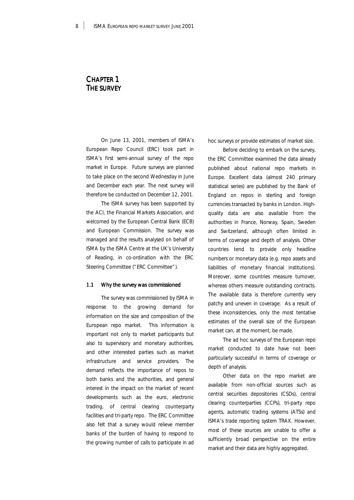# CHAPTER 1 **THE SURVEY**

On June 13, 2001, members of ISMA's European Repo Council (ERC) took part in ISMA's first semi-annual survey of the repo market in Europe. Future surveys are planned to take place on the second Wednesday in June and December each year. The next survey will therefore be conducted on December 12, 2001.

The ISMA survey has been supported by the ACI, the Financial Markets Association, and welcomed by the European Central Bank (ECB) and European Commission. The survey was managed and the results analysed on behalf of ISMA by the ISMA Centre at the UK's University of Reading, in co-ordination with the ERC Steering Committee ("ERC Committee").

#### 1.1 Why the survey was commissioned

The survey was commissioned by ISMA in response to the growing demand for information on the size and composition of the European repo market. This information is important not only to market participants but also to supervisory and monetary authorities, and other interested parties such as market infrastructure and service providers. The demand reflects the importance of repos to both banks and the authorities, and general interest in the impact on the market of recent developments such as the euro, electronic trading, of central clearing counterparty facilities and tri-party repo. The ERC Committee also felt that a survey would relieve member banks of the burden of having to respond to the growing number of calls to participate in ad hoc surveys or provide estimates of market size.

Before deciding to embark on the survey, the ERC Committee examined the data already published about national repo markets in Europe. Excellent data (almost 240 primary statistical series) are published by the Bank of England on repos in sterling and foreign currencies transacted by banks in London. Highquality data are also available from the authorities in France, Norway, Spain, Sweden and Switzerland, although often limited in terms of coverage and depth of analysis. Other countries tend to provide only headline numbers or monetary data (e.g. repo assets and liabilities of monetary financial institutions). Moreover, some countries measure turnover, whereas others measure outstanding contracts. The available data is therefore currently very patchy and uneven in coverage. As a result of these inconsistencies, only the most tentative estimates of the overall size of the European market can, at the moment, be made.

The ad hoc surveys of the European repo market conducted to date have not been particularly successful in terms of coverage or depth of analysis.

Other data on the repo market are available from non-official sources such as central securities depositories (CSDs), central clearing counterparties (CCPs), tri-party repo agents, automatic trading systems (ATSs) and ISMA's trade reporting system TRAX. However, most of these sources are unable to offer a sufficiently broad perspective on the entire market and their data are highly aggregated.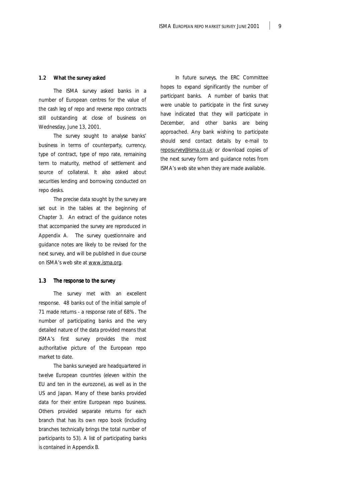#### 1.2 What the survey asked

The ISMA survey asked banks in a number of European centres for the value of the cash leg of repo and reverse repo contracts still outstanding at close of business on Wednesday, June 13, 2001.

The survey sought to analyse banks' business in terms of counterparty, currency, type of contract, type of repo rate, remaining term to maturity, method of settlement and source of collateral. It also asked about securities lending and borrowing conducted on repo desks.

The precise data sought by the survey are set out in the tables at the beginning of Chapter 3. An extract of the guidance notes that accompanied the survey are reproduced in Appendix A. The survey questionnaire and guidance notes are likely to be revised for the next survey, and will be published in due course on ISMA's web site at www.isma.org.

### 1.3 The response to the survey

The survey met with an excellent response. 48 banks out of the initial sample of 71 made returns - a response rate of 68%. The number of participating banks and the very detailed nature of the data provided means that ISMA's first survey provides the most authoritative picture of the European repo market to date.

The banks surveyed are headquartered in twelve European countries (eleven within the EU and ten in the eurozone), as well as in the US and Japan. Many of these banks provided data for their entire European repo business. Others provided separate returns for each branch that has its own repo book (including branches technically brings the total number of participants to 53). A list of participating banks is contained in Appendix B.

In future surveys, the ERC Committee hopes to expand significantly the number of participant banks. A number of banks that were unable to participate in the first survey have indicated that they will participate in December, and other banks are being approached. Any bank wishing to participate should send contact details by e-mail to [reposurvey@isma.co.uk o](mailto:reposurvey@isma.co.uk)r download copies of the next survey form and guidance notes from ISMA's web site when they are made available.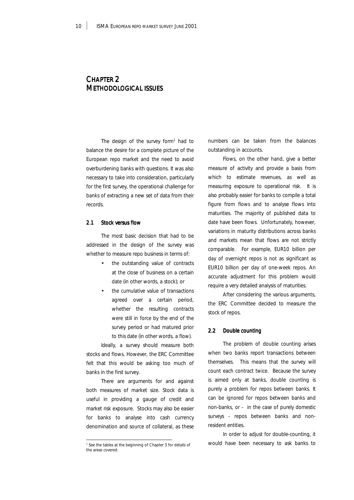# CHAPTER 2 METHODOLOGICAL ISSUES

The design of the survey form $1$  had to balance the desire for a complete picture of the European repo market and the need to avoid overburdening banks with questions. It was also necessary to take into consideration, particularly for the first survey, the operational challenge for banks of extracting a new set of data from their records.

# 2.1 Stock versus flow

The most basic decision that had to be addressed in the design of the survey was whether to measure repo business in terms of:

- the outstanding value of contracts at the close of business on a certain date (in other words, a stock); or
- the cumulative value of transactions agreed over a certain period, whether the resulting contracts were still in force by the end of the survey period or had matured prior to this date (in other words, a flow).

Ideally, a survey should measure both stocks and flows. However, the ERC Committee felt that this would be asking too much of banks in the first survey.

There are arguments for and against both measures of market size. Stock data is useful in providing a gauge of credit and market risk exposure. Stocks may also be easier for banks to analyse into cash currency denomination and source of collateral, as these

numbers can be taken from the balances outstanding in accounts.

Flows, on the other hand, give a better measure of activity and provide a basis from which to estimate revenues, as well as measuring exposure to operational risk. It is also probably easier for banks to compile a total figure from flows and to analyse flows into maturities. The majority of published data to date have been flows. Unfortunately, however, variations in maturity distributions across banks and markets mean that flows are not strictly comparable. For example, EUR10 billion per day of overnight repos is not as significant as EUR10 billion per day of one-week repos. An accurate adjustment for this problem would require a very detailed analysis of maturities.

After considering the various arguments, the ERC Committee decided to measure the stock of repos.

### 2.2 Double counting

The problem of double counting arises when two banks report transactions between themselves. This means that the survey will count each contract twice. Because the survey is aimed only at banks, double counting is purely a problem for repos between banks. It can be ignored for repos between banks and non-banks, or - in the case of purely domestic surveys - repos between banks and nonresident entities.

In order to adjust for double-counting, it would have been necessary to ask banks to

<sup>&</sup>lt;sup>1</sup> See the tables at the beginning of Chapter 3 for details of the areas covered.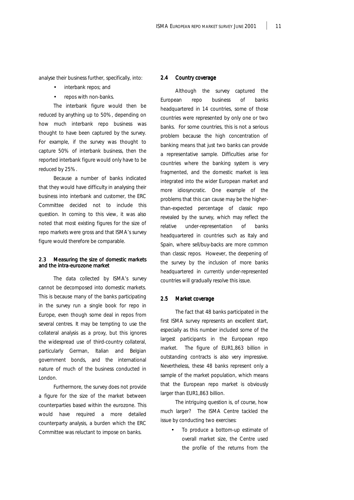analyse their business further, specifically, into:

- interbank repos; and
- repos with non-banks.

The interbank figure would then be reduced by anything up to 50%, depending on how much interbank repo business was thought to have been captured by the survey. For example, if the survey was thought to capture 50% of interbank business, then the reported interbank figure would only have to be reduced by 25%.

Because a number of banks indicated that they would have difficulty in analysing their business into interbank and customer, the ERC Committee decided not to include this question. In coming to this view, it was also noted that most existing figures for the size of repo markets were gross and that ISMA's survey figure would therefore be comparable.

### 2.3 Measuring the size of domestic markets and the intra-eurozone market

The data collected by ISMA's survey cannot be decomposed into domestic markets. This is because many of the banks participating in the survey run a single book for repo in Europe, even though some deal in repos from several centres. It may be tempting to use the collateral analysis as a proxy, but this ignores the widespread use of third-country collateral, particularly German, Italian and Belgian government bonds, and the international nature of much of the business conducted in London.

Furthermore, the survey does not provide a figure for the size of the market between counterparties based within the eurozone. This would have required a more detailed counterparty analysis, a burden which the ERC Committee was reluctant to impose on banks.

### 2.4 Country coverage

Although the survey captured the European repo business of banks headquartered in 14 countries, some of those countries were represented by only one or two banks. For some countries, this is not a serious problem because the high concentration of banking means that just two banks can provide a representative sample. Difficulties arise for countries where the banking system is very fragmented, and the domestic market is less integrated into the wider European market and more idiosyncratic. One example of the problems that this can cause may be the higherthan-expected percentage of classic repo revealed by the survey, which may reflect the relative under-representation of banks headquartered in countries such as Italy and Spain, where sell/buy-backs are more common than classic repos. However, the deepening of the survey by the inclusion of more banks headquartered in currently under-represented countries will gradually resolve this issue.

#### 2.5 Market coverage

The fact that 48 banks participated in the first ISMA survey represents an excellent start, especially as this number included some of the largest participants in the European repo market. The figure of EUR1,863 billion in outstanding contracts is also very impressive. Nevertheless, these 48 banks represent only a sample of the market population, which means that the European repo market is obviously larger than EUR1,863 billion.

The intriguing question is, of course, how much larger? The ISMA Centre tackled the issue by conducting two exercises:

• To produce a bottom-up estimate of overall market size, the Centre used the profile of the returns from the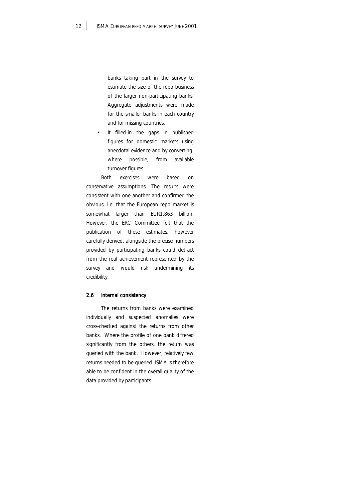banks taking part in the survey to estimate the size of the repo business of the larger non-participating banks. Aggregate adjustments were made for the smaller banks in each country and for missing countries.

It filled-in the gaps in published figures for domestic markets using anecdotal evidence and by converting, where possible, from available turnover figures.

Both exercises were based on conservative assumptions. The results were consistent with one another and confirmed the obvious, i.e. that the European repo market is somewhat larger than EUR1,863 billion. However, the ERC Committee felt that the publication of these estimates, however carefully derived, alongside the precise numbers provided by participating banks could detract from the real achievement represented by the survey and would risk undermining its credibility.

# 2.6 Internal consistency

The returns from banks were examined individually and suspected anomalies were cross-checked against the returns from other banks. Where the profile of one bank differed significantly from the others, the return was queried with the bank. However, relatively few returns needed to be queried. ISMA is therefore able to be confident in the overall quality of the data provided by participants.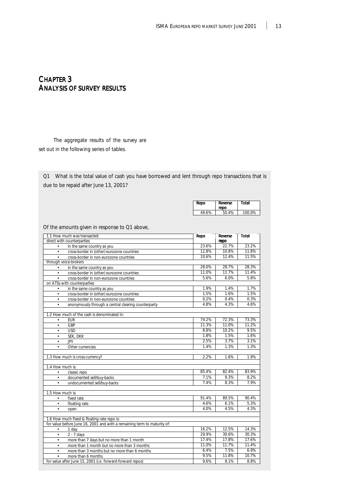# CHAPTER 3 ANALYSIS OF SURVEY RESULTS

The aggregate results of the survey are set out in the following series of tables.

Q1 What is the total value of cash you have borrowed and lent through repo transactions that is due to be repaid after June 13, 2001?

| <b>Total</b><br>Reverse | Repo        |
|-------------------------|-------------|
| repo                    |             |
| 100.0%<br>50.4%         | 49<br>19.6% |

Of the amounts given in response to Q1 above,

| 1.1 How much was transacted:<br>direct with counterparties                            | Repo  | Reverse       | Total |
|---------------------------------------------------------------------------------------|-------|---------------|-------|
|                                                                                       | 23.6% | repo<br>22.7% | 23.2% |
| in the same country as you<br>$\bullet$                                               | 12.8% | 10.8%         | 11.8% |
| cross-border in (other) eurozone countries<br>$\bullet$                               | 10.6% | 12.4%         | 11.5% |
| cross-border in non-eurozone countries<br>$\bullet$<br>through voice-brokers          |       |               |       |
|                                                                                       | 28.0% | 28.7%         | 28.3% |
| in the same country as you<br>$\bullet$<br>cross-border in (other) eurozone countries | 11.0% | 11.7%         | 11.4% |
| $\bullet$                                                                             | 5.6%  | 6.0%          | 5.8%  |
| cross-border in non-eurozone countries<br>$\bullet$<br>on ATSs with counterparties    |       |               |       |
| in the same country as you<br>$\bullet$                                               | 1.9%  | 1.4%          | 1.7%  |
| cross-border in (other) eurozone countries<br>$\bullet$                               | 1.5%  | 1.6%          | 1.5%  |
| cross-border in non-eurozone countries                                                | 0.2%  | 0.4%          | 0.3%  |
| $\bullet$                                                                             | 4.8%  | 4.3%          | 4.6%  |
| anonymously through a central clearing counterparty<br>$\bullet$                      |       |               |       |
| 1.2 How much of the cash is denominated in:                                           |       |               |       |
| <b>EUR</b><br>$\bullet$                                                               | 74.2% | 72.3%         | 73.3% |
| <b>GBP</b><br>$\bullet$                                                               | 11.3% | 11.0%         | 11.2% |
| <b>USD</b><br>$\bullet$                                                               | 8.8%  | 10.2%         | 9.5%  |
| SEK, DKK<br>$\bullet$                                                                 | 1.8%  | 1.5%          | 1.6%  |
| <b>JPY</b><br>$\bullet$                                                               | 2.5%  | 3.7%          | 3.1%  |
| Other currencies<br>$\bullet$                                                         | 1.4%  | 1.3%          | 1.3%  |
|                                                                                       |       |               |       |
| 1.3 How much is cross-currency?                                                       | 2.2%  | 1.6%          | 1.9%  |
|                                                                                       |       |               |       |
| 1.4 How much is:                                                                      | 85.4% | 82.4%         | 83.9% |
| classic repo<br>$\bullet$                                                             | 7.1%  | 9.3%          | 8.2%  |
| documented sell/buy-backs<br>$\bullet$                                                | 7.4%  |               |       |
| undocumented sell/buy-backs<br>$\bullet$                                              |       | 8.3%          | 7.9%  |
| 1.5 How much is:                                                                      |       |               |       |
| fixed rate<br>$\bullet$                                                               | 91.4% | 89.5%         | 90.4% |
| floating rate<br>$\bullet$                                                            | 4.6%  | 6.1%          | 5.3%  |
| $\bullet$<br>open                                                                     | 4.0%  | 4.5%          | 4.3%  |
|                                                                                       |       |               |       |
| 1.6 How much fixed & floating rate repo is:                                           |       |               |       |
| for value before June 16, 2001 and with a remaining term to maturity of:              |       |               |       |
| 1 day<br>$\bullet$                                                                    | 16.2% | 12.5%         | 14.3% |
| $2 - 7$ days<br>$\bullet$                                                             | 29.9% | 30.6%         | 30.3% |
| more than 7 days but no more than 1 month<br>$\bullet$                                | 17.4% | 17.8%         | 17.6% |
| more than 1 month but no more than 3 months<br>$\bullet$                              | 11.0% | 11.7%         | 11.4% |
| more than 3 months but no more than 6 months<br>$\bullet$                             | 6.4%  | 7.5%          | 6.9%  |
| more than 6 months<br>$\bullet$                                                       | 9.5%  | 11.8%         | 10.7% |
| for value after June 15, 2001 (i.e. forward-forward repos)                            | 9.6%  | 8.1%          | 8.8%  |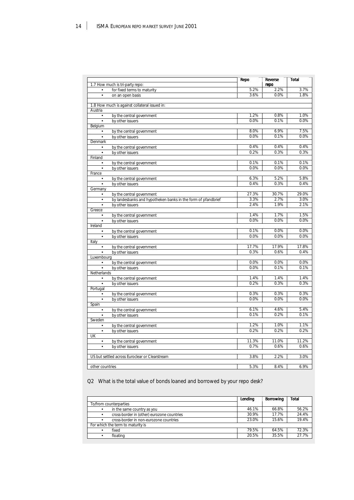| 1.7 How much is tri-party repo: |                                                               |       | Reverse<br>repo | <b>Total</b> |
|---------------------------------|---------------------------------------------------------------|-------|-----------------|--------------|
| $\bullet$                       | for fixed terms to maturity                                   | 5.2%  | 2.2%            | 3.7%         |
| $\bullet$                       | on an open basis                                              | 3.6%  | 0.0%            | 1.8%         |
|                                 |                                                               |       |                 |              |
|                                 | 1.8 How much is against collateral issued in:                 |       |                 |              |
| Austria                         |                                                               |       |                 |              |
| $\bullet$                       | by the central government                                     | 1.2%  | 0.8%            | 1.0%         |
| $\bullet$                       | by other issuers                                              | 0.0%  | 0.1%            | 0.0%         |
| Belgium                         |                                                               |       |                 |              |
| ٠                               | by the central government                                     | 8.0%  | 6.9%            | 7.5%         |
| $\bullet$                       | by other issuers                                              | 0.0%  | 0.1%            | 0.0%         |
| Denmark                         |                                                               |       |                 |              |
| $\bullet$                       | by the central government                                     | 0.4%  | 0.4%            | 0.4%         |
|                                 | by other issuers                                              | 0.2%  | 0.3%            | 0.3%         |
| Finland                         |                                                               |       |                 |              |
| ٠                               | by the central government                                     | 0.1%  | 0.1%            | 0.1%         |
| $\bullet$                       | by other issuers                                              | 0.0%  | 0.0%            | 0.0%         |
| France                          |                                                               |       |                 |              |
| ٠                               | by the central government                                     | 6.3%  | 5.2%            | 5.8%         |
| $\bullet$                       | by other issuers                                              | 0.4%  | 0.3%            | 0.4%         |
| Germany                         |                                                               |       |                 |              |
| $\bullet$                       | by the central government                                     | 27.3% | 30.7%           | 29.0%        |
| $\bullet$                       | by landesbanks and hypotheken banks in the form of pfandbrief | 3.3%  | 2.7%            | 3.0%         |
| $\bullet$                       | by other issuers                                              | 2.4%  | 1.9%            | 2.1%         |
| Greece                          |                                                               |       |                 |              |
| $\bullet$                       | by the central government                                     | 1.4%  | 1.7%            | 1.5%         |
| $\bullet$                       | by other issuers                                              | 0.0%  | 0.0%            | 0.0%         |
| Ireland                         |                                                               |       |                 |              |
| $\bullet$                       | by the central government                                     | 0.1%  | 0.0%            | 0.0%         |
| $\bullet$                       | by other issuers                                              | 0.0%  | 0.0%            | 0.0%         |
| Italy                           |                                                               |       |                 |              |
| $\bullet$                       | by the central government                                     | 17.7% | 17.9%           | 17.8%        |
| $\bullet$                       | by other issuers                                              | 0.3%  | 0.6%            | 0.4%         |
| Luxembourg                      |                                                               |       |                 |              |
| $\bullet$                       | by the central government                                     | 0.0%  | 0.0%            | 0.0%         |
|                                 | by other issuers                                              | 0.0%  | 0.1%            | 0.1%         |
| Netherlands                     |                                                               |       |                 |              |
| $\bullet$                       | by the central government                                     | 1.4%  | 1.4%            | 1.4%         |
|                                 | by other issuers                                              | 0.2%  | 0.3%            | 0.3%         |
| Portugal                        |                                                               |       |                 |              |
| $\bullet$                       | by the central government                                     | 0.3%  | 0.3%            | 0.3%         |
| $\bullet$                       | by other issuers                                              | 0.0%  | 0.0%            | 0.0%         |
| Spain                           |                                                               |       |                 |              |
| $\bullet$                       | by the central government                                     | 6.1%  | 4.6%            | 5.4%         |
|                                 | by other issuers                                              | 0.1%  | 0.2%            | 0.1%         |
| Sweden                          |                                                               |       |                 |              |
| $\bullet$                       | by the central government                                     | 1.2%  | 1.0%            | 1.1%         |
| $\bullet$                       | by other issuers                                              | 0.2%  | 0.2%            | 0.2%         |
| UK                              |                                                               |       |                 |              |
| $\bullet$                       | by the central government                                     | 11.3% | 11.0%           | 11.2%        |
|                                 | by other issuers                                              | 0.7%  | 0.6%            | 0.6%         |
|                                 |                                                               |       |                 |              |
|                                 | US but settled across Euroclear or Clearstream                | 3.8%  | 2.2%            | 3.0%         |
|                                 |                                                               |       |                 |              |
| other countries                 |                                                               | 5.3%  | 8.4%            | 6.9%         |

Q2 What is the total value of bonds loaned and borrowed by your repo desk?

|                                   |                                            | Lending | Borrowing | Total |
|-----------------------------------|--------------------------------------------|---------|-----------|-------|
| To/from counterparties            |                                            |         |           |       |
|                                   | in the same country as you                 | 46.1%   | 66.8%     | 56.2% |
|                                   | cross-border in (other) eurozone countries | 30.9%   | 17.7%     | 24.4% |
|                                   | cross-border in non-eurozone countries     | 23.0%   | 15.6%     | 19.4% |
| For which the term to maturity is |                                            |         |           |       |
|                                   | fixed                                      | 79.5%   | 64.5%     | 72.3% |
| ٠                                 | floating                                   | 20.5%   | 35.5%     | 27.7% |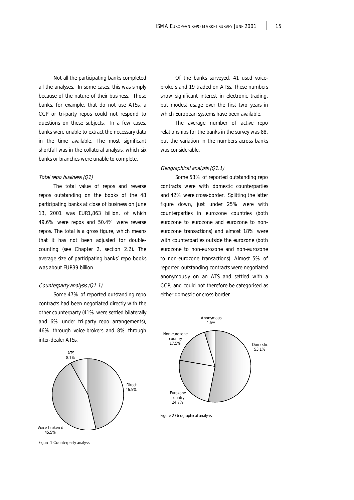Not all the participating banks completed all the analyses. In some cases, this was simply because of the nature of their business. Those banks, for example, that do not use ATSs, a CCP or tri-party repos could not respond to questions on these subjects. In a few cases, banks were unable to extract the necessary data in the time available. The most significant shortfall was in the collateral analysis, which six banks or branches were unable to complete.

#### Total repo business (Q1)

The total value of repos and reverse repos outstanding on the books of the 48 participating banks at close of business on June 13, 2001 was EUR1,863 billion, of which 49.6% were repos and 50.4% were reverse repos. The total is a gross figure, which means that it has not been adjusted for doublecounting (see Chapter 2, section 2.2). The average size of participating banks' repo books was about EUR39 billion.

#### Counterparty analysis (Q1.1)

Some 47% of reported outstanding repo contracts had been negotiated directly with the other counterparty (41% were settled bilaterally and 6% under tri-party repo arrangements), 46% through voice-brokers and 8% through inter-dealer ATSs.



Figure 1 Counterparty analysis

Of the banks surveyed, 41 used voicebrokers and 19 traded on ATSs. These numbers show significant interest in electronic trading, but modest usage over the first two years in which European systems have been available.

The average number of active repo relationships for the banks in the survey was 88, but the variation in the numbers across banks was considerable.

# Geographical analysis (Q1.1)

Some 53% of reported outstanding repo contracts were with domestic counterparties and 42% were cross-border. Splitting the latter figure down, just under 25% were with counterparties in eurozone countries (both eurozone to eurozone and eurozone to noneurozone transactions) and almost 18% were with counterparties outside the eurozone (both eurozone to non-eurozone and non-eurozone to non-eurozone transactions). Almost 5% of reported outstanding contracts were negotiated anonymously on an ATS and settled with a CCP, and could not therefore be categorised as either domestic or cross-border.



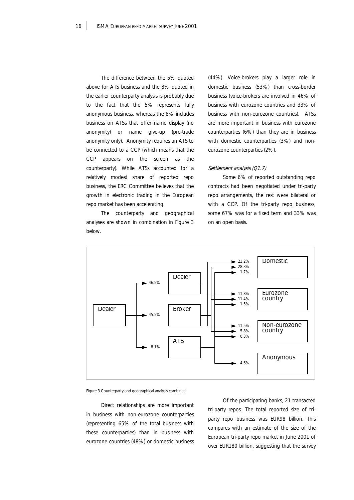The difference between the 5% quoted above for ATS business and the 8% quoted in the earlier counterparty analysis is probably due to the fact that the 5% represents fully anonymous business, whereas the 8% includes business on ATSs that offer name display (no anonymity) or name give-up (pre-trade anonymity only). Anonymity requires an ATS to be connected to a CCP (which means that the CCP appears on the screen as the counterparty). While ATSs accounted for a relatively modest share of reported repo business, the ERC Committee believes that the growth in electronic trading in the European repo market has been accelerating.

The counterparty and geographical analyses are shown in combination in Figure 3 below.

(44%). Voice-brokers play a larger role in domestic business (53%) than cross-border business (voice-brokers are involved in 46% of business with eurozone countries and 33% of business with non-eurozone countries). ATSs are more important in business with eurozone counterparties (6%) than they are in business with domestic counterparties (3%) and noneurozone counterparties (2%).

#### Settlement analysis (Q1.7)

Some 6% of reported outstanding repo contracts had been negotiated under tri-party repo arrangements, the rest were bilateral or with a CCP. Of the tri-party repo business, some 67% was for a fixed term and 33% was on an open basis.





Direct relationships are more important in business with non-eurozone counterparties (representing 65% of the total business with these counterparties) than in business with eurozone countries (48%) or domestic business

Of the participating banks, 21 transacted tri-party repos. The total reported size of triparty repo business was EUR98 billion. This compares with an estimate of the size of the European tri-party repo market in June 2001 of over EUR180 billion, suggesting that the survey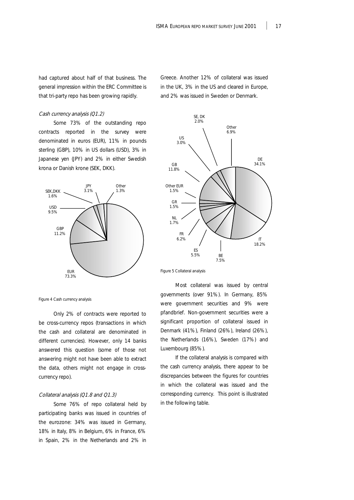had captured about half of that business. The general impression within the ERC Committee is that tri-party repo has been growing rapidly.

# Cash currency analysis (Q1.2)

Some 73% of the outstanding repo contracts reported in the survey were denominated in euros (EUR), 11% in pounds sterling (GBP), 10% in US dollars (USD), 3% in Japanese yen (JPY) and 2% in either Swedish krona or Danish krone (SEK, DKK).



Figure 4 Cash currency analysis

Only 2% of contracts were reported to be cross-currency repos (transactions in which the cash and collateral are denominated in different currencies). However, only 14 banks answered this question (some of those not answering might not have been able to extract the data, others might not engage in crosscurrency repo).

# Collateral analysis (Q1.8 and Q1.3)

Some 76% of repo collateral held by participating banks was issued in countries of the eurozone: 34% was issued in Germany, 18% in Italy, 8% in Belgium, 6% in France, 6% in Spain, 2% in the Netherlands and 2% in

Greece. Another 12% of collateral was issued in the UK, 3% in the US and cleared in Europe, and 2% was issued in Sweden or Denmark.



Figure 5 Collateral analysis

Most collateral was issued by central governments (over 91%). In Germany, 85% were government securities and 9% were pfandbrief. Non-government securities were a significant proportion of collateral issued in Denmark (41%), Finland (26%), Ireland (26%), the Netherlands (16%), Sweden (17%) and Luxembourg (85%).

If the collateral analysis is compared with the cash currency analysis, there appear to be discrepancies between the figures for countries in which the collateral was issued and the corresponding currency. This point is illustrated in the following table.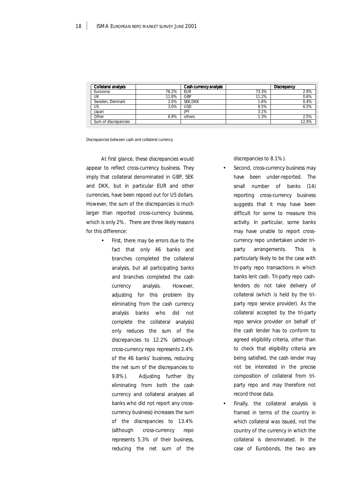| Collateral analysis  |       | Cash currency analysis |       | Discrepancy |
|----------------------|-------|------------------------|-------|-------------|
| <b>Furozone</b>      | 76.2% | <b>EUR</b>             | 73.3% | 2.9%        |
| UK                   | 11.8% | GBP                    | 11.2% | 0.6%        |
| Sweden, Denmark      | 2.0%  | SEK.DKK                | 1.6%  | 0.4%        |
| US                   | 3.0%  | USD                    | 9.5%  | 6.5%        |
| Japan                |       | JPY                    | 3.1%  |             |
| Other                | 6.9%  | others                 | 1.3%  | 2.5%        |
| Sum of discrepancies |       |                        |       | 12.9%       |

Discrepancies between cash and collateral currency

At first glance, these discrepancies would appear to reflect cross-currency business. They imply that collateral denominated in GBP, SEK and DKK, but in particular EUR and other currencies, have been repoed out for US dollars. However, the sum of the discrepancies is much larger than reported cross-currency business, which is only 2%. There are three likely reasons for this difference:

> First, there may be errors due to the fact that only 46 banks and branches completed the collateral analysis, but all participating banks and branches completed the cash currency analysis. However, adjusting for this problem (by eliminating from the cash currency analysis banks who did not complete the collateral analysis) only reduces the sum of the discrepancies to 12.2% (although cross-currency repo represents 2.4% of the 46 banks' business, reducing the net sum of the discrepancies to 9.8%). Adjusting further (by eliminating from both the cash currency and collateral analyses all banks who did not report any crosscurrency business) increases the sum of the discrepancies to 13.4% (although cross-currency repo represents 5.3% of their business, reducing the net sum of the

discrepancies to 8.1%).

- Second, cross-currency business may have been under-reported. The small number of banks (14) reporting cross-currency business suggests that it may have been difficult for some to measure this activity. In particular, some banks may have unable to report crosscurrency repo undertaken under triparty arrangements. This is particularly likely to be the case with tri-party repo transactions in which banks lent cash. Tri-party repo cashlenders do not take delivery of collateral (which is held by the triparty repo service provider). As the collateral accepted by the tri-party repo service provider on behalf of the cash lender has to conform to agreed eligibility criteria, other than to check that eligibility criteria are being satisfied, the cash lender may not be interested in the precise composition of collateral from triparty repo and may therefore not record those data.
- Finally, the collateral analysis is framed in terms of the country in which collateral was issued, not the country of the currency in which the collateral is denominated. In the case of Eurobonds, the two are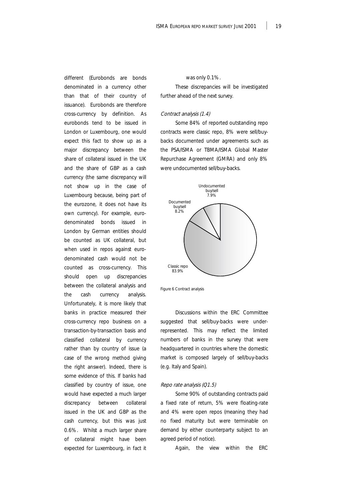different (Eurobonds are bonds denominated in a currency other than that of their country of issuance). Eurobonds are therefore cross-currency by definition. As eurobonds tend to be issued in London or Luxembourg, one would expect this fact to show up as a major discrepancy between the share of collateral issued in the UK and the share of GBP as a cash currency (the same discrepancy will not show up in the case of Luxembourg because, being part of the eurozone, it does not have its own currency). For example, eurodenominated bonds issued in London by German entities should be counted as UK collateral, but when used in repos against eurodenominated cash would not be counted as cross-currency. This should open up discrepancies between the collateral analysis and the cash currency analysis. Unfortunately, it is more likely that banks in practice measured their cross-currency repo business on a transaction-by-transaction basis and classified collateral by currency rather than by country of issue (a case of the wrong method giving the right answer). Indeed, there is some evidence of this. If banks had classified by country of issue, one would have expected a much larger discrepancy between collateral issued in the UK and GBP as the cash currency, but this was just 0.6%. Whilst a much larger share of collateral might have been expected for Luxembourg, in fact it

was only 0.1%.

These discrepancies will be investigated further ahead of the next survey.

### Contract analysis (1.4)

Some 84% of reported outstanding repo contracts were classic repo, 8% were sell/buybacks documented under agreements such as the PSA/ISMA or TBMA/ISMA Global Master Repurchase Agreement (GMRA) and only 8% were undocumented sell/buy-backs.



Figure 6 Contract analysis

Discussions within the ERC Committee suggested that sell/buy-backs were underrepresented. This may reflect the limited numbers of banks in the survey that were headquartered in countries where the domestic market is composed largely of sell/buy-backs (e.g. Italy and Spain).

#### Repo rate analysis (Q1.5)

Some 90% of outstanding contracts paid a fixed rate of return, 5% were floating-rate and 4% were open repos (meaning they had no fixed maturity but were terminable on demand by either counterparty subject to an agreed period of notice).

Again, the view within the ERC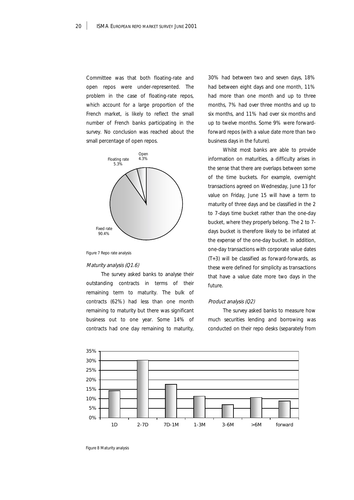Committee was that both floating-rate and open repos were under-represented. The problem in the case of floating-rate repos, which account for a large proportion of the French market, is likely to reflect the small number of French banks participating in the survey. No conclusion was reached about the small percentage of open repos.



Figure 7 Repo rate analysis

#### Maturity analysis (Q1.6)

The survey asked banks to analyse their outstanding contracts in terms of their remaining term to maturity. The bulk of contracts (62%) had less than one month remaining to maturity but there was significant business out to one year. Some 14% of contracts had one day remaining to maturity,

30% had between two and seven days, 18% had between eight days and one month, 11% had more than one month and up to three months, 7% had over three months and up to six months, and 11% had over six months and up to twelve months. Some 9% were forwardforward repos (with a value date more than two business days in the future).

Whilst most banks are able to provide information on maturities, a difficulty arises in the sense that there are overlaps between some of the time buckets. For example, overnight transactions agreed on Wednesday, June 13 for value on Friday, June 15 will have a term to maturity of three days and be classified in the 2 to 7-days time bucket rather than the one-day bucket, where they properly belong. The 2 to 7 days bucket is therefore likely to be inflated at the expense of the one-day bucket. In addition, one-day transactions with corporate value dates (T+3) will be classified as forward-forwards, as these were defined for simplicity as transactions that have a value date more two days in the future.

### Product analysis (Q2)

The survey asked banks to measure how much securities lending and borrowing was conducted on their repo desks (separately from



Figure 8 Maturity analysis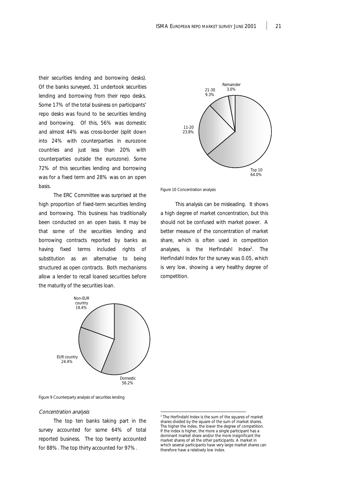their securities lending and borrowing desks). Of the banks surveyed, 31 undertook securities lending and borrowing from their repo desks. Some 17% of the total business on participants' repo desks was found to be securities lending and borrowing. Of this, 56% was domestic and almost 44% was cross-border (split down into 24% with counterparties in eurozone countries and just less than 20% with counterparties outside the eurozone). Some 72% of this securities lending and borrowing was for a fixed term and 28% was on an open basis.

The ERC Committee was surprised at the high proportion of fixed-term securities lending and borrowing. This business has traditionally been conducted on an open basis. It may be that some of the securities lending and borrowing contracts reported by banks as having fixed terms included rights of substitution as an alternative to being structured as open contracts. Both mechanisms allow a lender to recall loaned securities before the maturity of the securities loan.



Figure 9 Counterparty analysis of securities lending

### Concentration analysis

The top ten banks taking part in the survey accounted for some 64% of total reported business. The top twenty accounted for 88%. The top thirty accounted for 97%.





Figure 10 Concentration analysis

This analysis can be misleading. It shows a high degree of market concentration, but this should not be confused with market power. A better measure of the concentration of market share, which is often used in competition analyses, is the Herfindahl Index<sup>2</sup>. The Herfindahl Index for the survey was 0.05, which is very low, showing a very healthy degree of competition.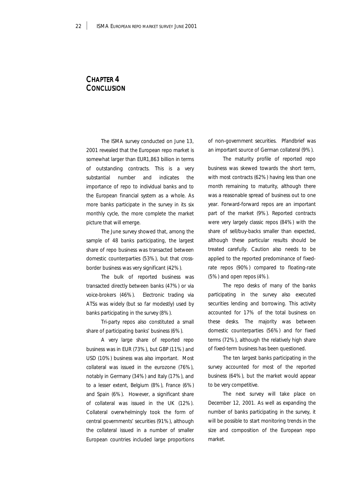# CHAPTER 4 **CONCLUSION**

The ISMA survey conducted on June 13, 2001 revealed that the European repo market is somewhat larger than EUR1,863 billion in terms of outstanding contracts. This is a very substantial number and indicates the importance of repo to individual banks and to the European financial system as a whole. As more banks participate in the survey in its six monthly cycle, the more complete the market picture that will emerge.

The June survey showed that, among the sample of 48 banks participating, the largest share of repo business was transacted between domestic counterparties (53%), but that crossborder business was very significant (42%).

The bulk of reported business was transacted directly between banks (47%) or via voice-brokers (46%). Electronic trading via ATSs was widely (but so far modestly) used by banks participating in the survey (8%).

Tri-party repos also constituted a small share of participating banks' business (6%).

A very large share of reported repo business was in EUR (73%), but GBP (11%) and USD (10%) business was also important. Most collateral was issued in the eurozone (76%), notably in Germany (34%) and Italy (17%), and to a lesser extent, Belgium (8%), France (6%) and Spain (6%). However, a significant share of collateral was issued in the UK (12%). Collateral overwhelmingly took the form of central governments' securities (91%), although the collateral issued in a number of smaller European countries included large proportions of non-government securities. Pfandbrief was an important source of German collateral (9%).

The maturity profile of reported repo business was skewed towards the short term, with most contracts (62%) having less than one month remaining to maturity, although there was a reasonable spread of business out to one year. Forward-forward repos are an important part of the market (9%). Reported contracts were very largely classic repos (84%) with the share of sell/buy-backs smaller than expected, although these particular results should be treated carefully. Caution also needs to be applied to the reported predominance of fixedrate repos (90%) compared to floating-rate (5%) and open repos (4%).

The repo desks of many of the banks participating in the survey also executed securities lending and borrowing. This activity accounted for 17% of the total business on these desks. The majority was between domestic counterparties (56%) and for fixed terms (72%), although the relatively high share of fixed-term business has been questioned.

The ten largest banks participating in the survey accounted for most of the reported business (64%), but the market would appear to be very competitive.

The next survey will take place on December 12, 2001. As well as expanding the number of banks participating in the survey, it will be possible to start monitoring trends in the size and composition of the European repo market.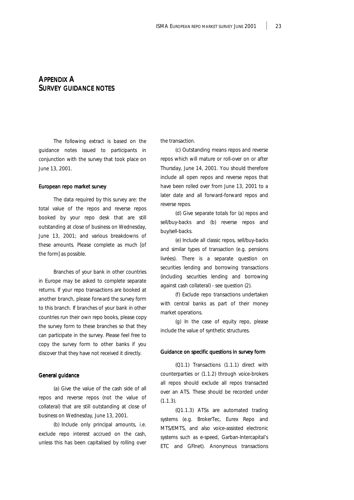# APPENDIX A SURVEY GUIDANCE NOTES

The following extract is based on the guidance notes issued to participants in conjunction with the survey that took place on June 13, 2001.

#### European repo market survey

The data required by this survey are: the total value of the repos and reverse repos booked by your repo desk that are still outstanding at close of business on Wednesday, June 13, 2001; and various breakdowns of these amounts. Please complete as much [of the form] as possible.

Branches of your bank in other countries in Europe may be asked to complete separate returns. If your repo transactions are booked at another branch, please forward the survey form to this branch. If branches of your bank in other countries run their own repo books, please copy the survey form to these branches so that they can participate in the survey. Please feel free to copy the survey form to other banks if you discover that they have not received it directly.

# General guidance

(a) Give the value of the cash side of all repos and reverse repos (not the value of collateral) that are still outstanding at close of business on Wednesday, June 13, 2001.

(b) Include only principal amounts, i.e. exclude repo interest accrued on the cash, unless this has been capitalised by rolling over the transaction.

(c) Outstanding means repos and reverse repos which will mature or roll-over on or after Thursday, June 14, 2001. You should therefore include all open repos and reverse repos that have been rolled over from June 13, 2001 to a later date and all forward-forward repos and reverse repos.

(d) Give separate totals for (a) repos and sell/buy-backs and (b) reverse repos and buy/sell-backs.

(e) Include all classic repos, sell/buy-backs and similar types of transaction (e.g. pensions livrées). There is a separate question on securities lending and borrowing transactions (including securities lending and borrowing against cash collateral) - see question (2).

(f) Exclude repo transactions undertaken with central banks as part of their money market operations.

(g) In the case of equity repo, please include the value of synthetic structures.

### Guidance on specific questions in survey form

(Q1.1) Transactions (1.1.1) direct with counterparties or (1.1.2) through voice-brokers all repos should exclude all repos transacted over an ATS. These should be recorded under  $(1.1.3)$ .

(Q1.1.3) ATSs are automated trading systems (e.g. BrokerTec, Eurex Repo and MTS/EMTS, and also voice-assisted electronic systems such as e-speed, Garban-Intercapital's ETC and GFInet). Anonymous transactions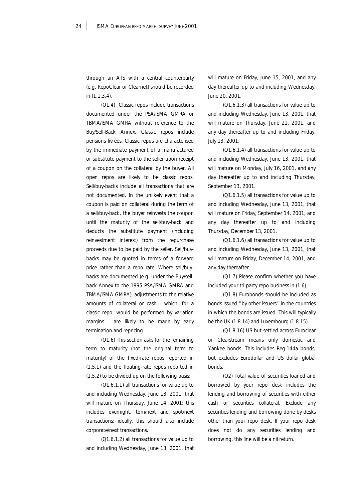through an ATS with a central counterparty (e.g. RepoClear or Clearnet) should be recorded in (1.1.3.4).

(Q1.4) Classic repos include transactions documented under the PSA/ISMA GMRA or TBMA/ISMA GMRA without reference to the Buy/Sell-Back Annex. Classic repos include pensions livrées. Classic repos are characterised by the immediate payment of a manufactured or substitute payment to the seller upon receipt of a coupon on the collateral by the buyer. All open repos are likely to be classic repos. Sell/buy-backs include all transactions that are not documented. In the unlikely event that a coupon is paid on collateral during the term of a sell/buy-back, the buyer reinvests the coupon until the maturity of the sell/buy-back and deducts the substitute payment (including reinvestment interest) from the repurchase proceeds due to be paid by the seller. Sell/buybacks may be quoted in terms of a forward price rather than a repo rate. Where sell/buybacks are documented (e.g. under the Buy/sellback Annex to the 1995 PSA/ISMA GMRA and TBMA/ISMA GMRA), adjustments to the relative amounts of collateral or cash - which, for a classic repo, would be performed by variation margins - are likely to be made by early termination and repricing.

(Q1.6) This section asks for the remaining term to maturity (not the original term to maturity) of the fixed-rate repos reported in (1.5.1) and the floating-rate repos reported in (1.5.2) to be divided up on the following basis:

(Q1.6.1.1) all transactions for value up to and including Wednesday, June 13, 2001, that will mature on Thursday, June 14, 2001: this includes overnight, tom/next and spot/next transactions; ideally, this should also include corporate/next transactions.

(Q1.6.1.2) all transactions for value up to and including Wednesday, June 13, 2001, that

will mature on Friday, June 15, 2001, and any day thereafter up to and including Wednesday, June 20, 2001.

(Q1.6.1.3) all transactions for value up to and including Wednesday, June 13, 2001, that will mature on Thursday, June 21, 2001, and any day thereafter up to and including Friday, July 13, 2001.

(Q1.6.1.4) all transactions for value up to and including Wednesday, June 13, 2001, that will mature on Monday, July 16, 2001, and any day thereafter up to and including Thursday, September 13, 2001.

(Q1.6.1.5) all transactions for value up to and including Wednesday, June 13, 2001, that will mature on Friday, September 14, 2001, and any day thereafter up to and including Thursday, December 13, 2001.

(Q1.6.1.6) all transactions for value up to and including Wednesday, June 13, 2001, that will mature on Friday, December 14, 2001, and any day thereafter.

(Q1.7) Please confirm whether you have included your tri-party repo business in (1.6).

(Q1.8) Eurobonds should be included as bonds issued "by other issuers" in the countries in which the bonds are issued. This will typically be the UK (1.8.14) and Luxembourg (1.8.15).

(Q1.8.16) US but settled across Euroclear or Clearstream means only domestic and Yankee bonds. This includes Reg.144a bonds, but excludes Eurodollar and US dollar global bonds.

(Q2) Total value of securities loaned and borrowed by your repo desk includes the lending and borrowing of securities with either cash or securities collateral. Exclude any securities lending and borrowing done by desks other than your repo desk. If your repo desk does not do any securities lending and borrowing, this line will be a nil return.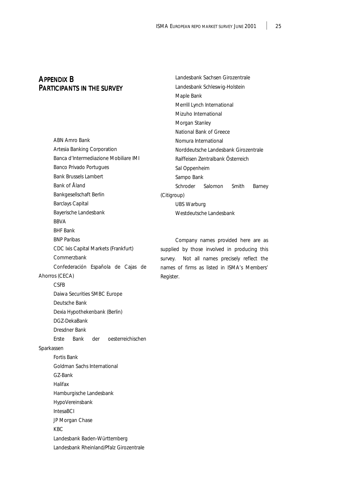Landesbank Sachsen Girozentrale Landesbank Schleswig-Holstein

Maple Bank

# APPENDIX B PARTICIPANTS IN THE SURVEY

|                                       | Merrill Lynch International            |
|---------------------------------------|----------------------------------------|
|                                       | Mizuho International                   |
|                                       | Morgan Stanley                         |
|                                       | National Bank of Greece                |
| ABN Amro Bank                         | Nomura International                   |
| Artesia Banking Corporation           | Norddeutsche Landesbank Girozentrale   |
| Banca d'Intermediazione Mobiliare IMI | Raiffeisen Zentralbank Österreich      |
| Banco Privado Portugues               | Sal Oppenheim                          |
| <b>Bank Brussels Lambert</b>          | Sampo Bank                             |
| Bank of Åland                         | Schroder<br>Salomon<br>Smith<br>Barney |
| Bankgesellschaft Berlin               | (Citigroup)                            |
| <b>Barclays Capital</b>               | <b>UBS Warburg</b>                     |
| Bayerische Landesbank                 | Westdeutsche Landesbank                |
| <b>BBVA</b>                           |                                        |
| <b>BHF Bank</b>                       |                                        |
| <b>BNP Paribas</b>                    | Company names provided here are as     |

supplied by those involved in producing this survey. Not all names precisely reflect the names of firms as listed in ISMA's Members' Register.

# Deutsche Bank Dexia Hypothekenbank (Berlin) DGZ-DekaBank Dresdner Bank Erste Bank der oesterreichischen Sparkassen Fortis Bank Goldman Sachs International GZ-Bank Halifax Hamburgische Landesbank HypoVereinsbank

CDC Ixis Capital Markets (Frankfurt)

Daiwa Securities SMBC Europe

Confederación Española de Cajas de

**Commerzbank** 

Ahorros (CECA) CSFB

IntesaBCI

JP Morgan Chase

KBC

Landesbank Baden-Württemberg Landesbank Rheinland/Pfalz Girozentrale